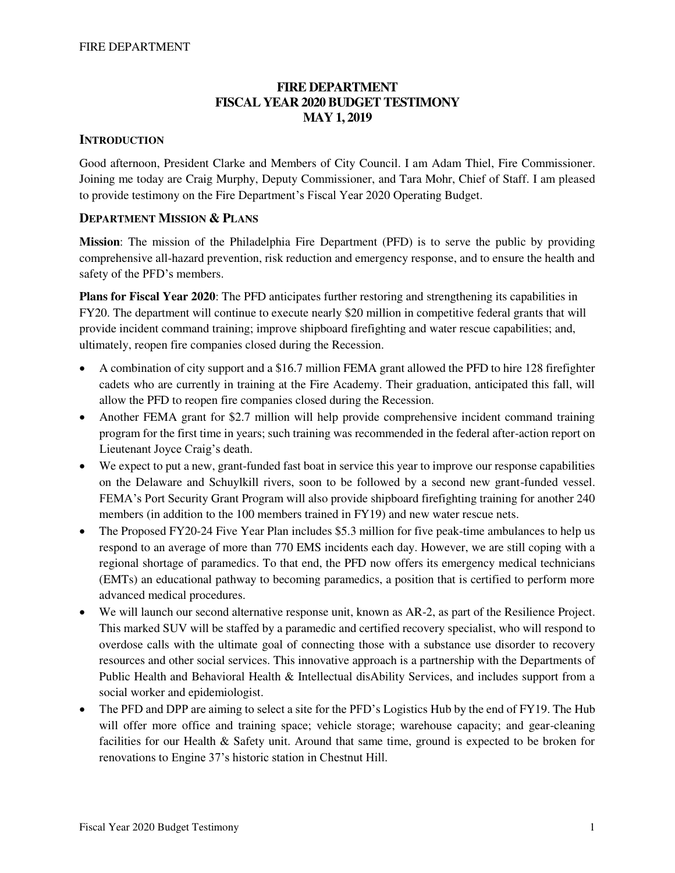# **FIRE DEPARTMENT FISCAL YEAR 2020 BUDGET TESTIMONY MAY 1, 2019**

## **INTRODUCTION**

Good afternoon, President Clarke and Members of City Council. I am Adam Thiel, Fire Commissioner. Joining me today are Craig Murphy, Deputy Commissioner, and Tara Mohr, Chief of Staff. I am pleased to provide testimony on the Fire Department's Fiscal Year 2020 Operating Budget.

# **DEPARTMENT MISSION & PLANS**

**Mission**: The mission of the Philadelphia Fire Department (PFD) is to serve the public by providing comprehensive all-hazard prevention, risk reduction and emergency response, and to ensure the health and safety of the PFD's members.

**Plans for Fiscal Year 2020**: The PFD anticipates further restoring and strengthening its capabilities in FY20. The department will continue to execute nearly \$20 million in competitive federal grants that will provide incident command training; improve shipboard firefighting and water rescue capabilities; and, ultimately, reopen fire companies closed during the Recession.

- A combination of city support and a \$16.7 million FEMA grant allowed the PFD to hire 128 firefighter cadets who are currently in training at the Fire Academy. Their graduation, anticipated this fall, will allow the PFD to reopen fire companies closed during the Recession.
- Another FEMA grant for \$2.7 million will help provide comprehensive incident command training program for the first time in years; such training was recommended in the federal after-action report on Lieutenant Joyce Craig's death.
- We expect to put a new, grant-funded fast boat in service this year to improve our response capabilities on the Delaware and Schuylkill rivers, soon to be followed by a second new grant-funded vessel. FEMA's Port Security Grant Program will also provide shipboard firefighting training for another 240 members (in addition to the 100 members trained in FY19) and new water rescue nets.
- The Proposed FY20-24 Five Year Plan includes \$5.3 million for five peak-time ambulances to help us respond to an average of more than 770 EMS incidents each day. However, we are still coping with a regional shortage of paramedics. To that end, the PFD now offers its emergency medical technicians (EMTs) an educational pathway to becoming paramedics, a position that is certified to perform more advanced medical procedures.
- We will launch our second alternative response unit, known as AR-2, as part of the Resilience Project. This marked SUV will be staffed by a paramedic and certified recovery specialist, who will respond to overdose calls with the ultimate goal of connecting those with a substance use disorder to recovery resources and other social services. This innovative approach is a partnership with the Departments of Public Health and Behavioral Health & Intellectual disAbility Services, and includes support from a social worker and epidemiologist.
- The PFD and DPP are aiming to select a site for the PFD's Logistics Hub by the end of FY19. The Hub will offer more office and training space; vehicle storage; warehouse capacity; and gear-cleaning facilities for our Health & Safety unit. Around that same time, ground is expected to be broken for renovations to Engine 37's historic station in Chestnut Hill.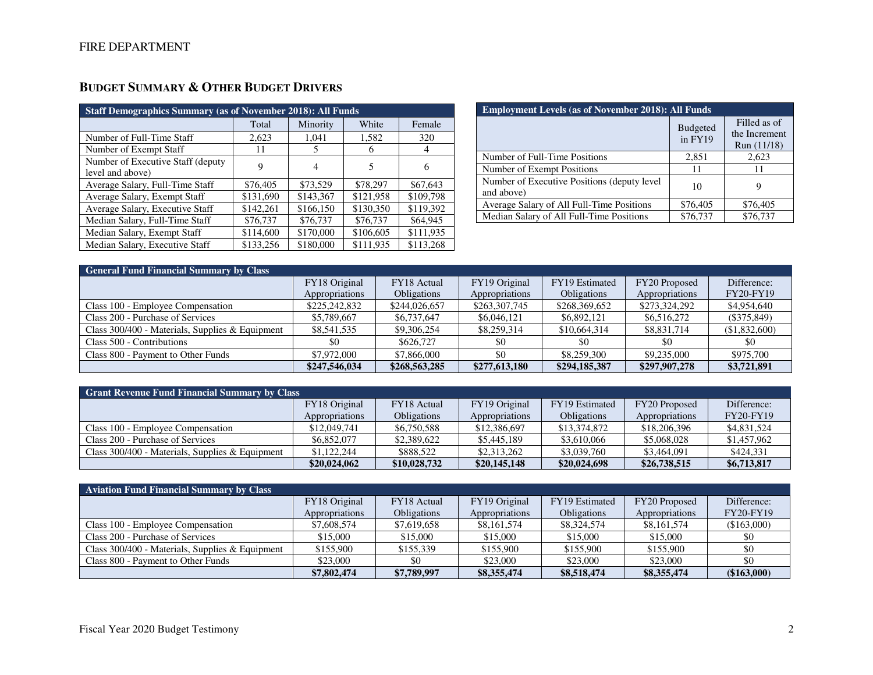| <b>Staff Demographics Summary (as of November 2018): All Funds</b> |           |           |           |           |  |  |  |  |  |
|--------------------------------------------------------------------|-----------|-----------|-----------|-----------|--|--|--|--|--|
|                                                                    | Total     | Minority  | White     | Female    |  |  |  |  |  |
| Number of Full-Time Staff                                          | 2,623     | 1,041     | 1,582     | 320       |  |  |  |  |  |
| Number of Exempt Staff                                             | 11        | 5         | h         | 4         |  |  |  |  |  |
| Number of Executive Staff (deputy)<br>level and above)             | 9         | 4         | 5         | 6         |  |  |  |  |  |
| Average Salary, Full-Time Staff                                    | \$76,405  | \$73,529  | \$78,297  | \$67,643  |  |  |  |  |  |
| Average Salary, Exempt Staff                                       | \$131,690 | \$143,367 | \$121,958 | \$109,798 |  |  |  |  |  |
| Average Salary, Executive Staff                                    | \$142,261 | \$166,150 | \$130,350 | \$119.392 |  |  |  |  |  |
| Median Salary, Full-Time Staff                                     | \$76,737  | \$76,737  | \$76,737  | \$64,945  |  |  |  |  |  |
| Median Salary, Exempt Staff                                        | \$114,600 | \$170,000 | \$106,605 | \$111,935 |  |  |  |  |  |
| Median Salary, Executive Staff                                     | \$133,256 | \$180,000 | \$111,935 | \$113,268 |  |  |  |  |  |

# **BUDGET SUMMARY & OTHER BUDGET DRIVERS**

| <b>Employment Levels (as of November 2018): All Funds</b>  |                            |                                              |  |  |  |  |  |  |
|------------------------------------------------------------|----------------------------|----------------------------------------------|--|--|--|--|--|--|
|                                                            | <b>Budgeted</b><br>in FY19 | Filled as of<br>the Increment<br>Run (11/18) |  |  |  |  |  |  |
| Number of Full-Time Positions                              | 2,851                      | 2,623                                        |  |  |  |  |  |  |
| Number of Exempt Positions                                 | 11                         | 11                                           |  |  |  |  |  |  |
| Number of Executive Positions (deputy level)<br>and above) | 10                         | 9                                            |  |  |  |  |  |  |
| Average Salary of All Full-Time Positions                  | \$76,405                   | \$76,405                                     |  |  |  |  |  |  |
| Median Salary of All Full-Time Positions                   | \$76,737                   | \$76,737                                     |  |  |  |  |  |  |

| <b>General Fund Financial Summary by Class</b>  |                |                    |                |                    |                |                  |  |  |  |  |
|-------------------------------------------------|----------------|--------------------|----------------|--------------------|----------------|------------------|--|--|--|--|
|                                                 | FY18 Original  | FY18 Actual        | FY19 Original  | FY19 Estimated     | FY20 Proposed  | Difference:      |  |  |  |  |
|                                                 | Appropriations | <b>Obligations</b> | Appropriations | <b>Obligations</b> | Appropriations | <b>FY20-FY19</b> |  |  |  |  |
| Class 100 - Employee Compensation               | \$225,242,832  | \$244,026,657      | \$263,307,745  | \$268,369,652      | \$273,324,292  | \$4,954,640      |  |  |  |  |
| Class 200 - Purchase of Services                | \$5,789,667    | \$6,737,647        | \$6,046,121    | \$6,892,121        | \$6,516,272    | $(\$375,849)$    |  |  |  |  |
| Class 300/400 - Materials, Supplies & Equipment | \$8,541,535    | \$9,306,254        | \$8,259,314    | \$10,664,314       | \$8,831,714    | (\$1,832,600)    |  |  |  |  |
| Class 500 - Contributions                       | \$0            | \$626,727          | \$0            | \$0                | \$0            | \$0              |  |  |  |  |
| Class 800 - Payment to Other Funds              | \$7,972,000    | \$7,866,000        | \$0            | \$8,259,300        | \$9,235,000    | \$975,700        |  |  |  |  |
|                                                 | \$247,546,034  | \$268,563,285      | \$277,613,180  | \$294,185,387      | \$297,907,278  | \$3,721,891      |  |  |  |  |

| <b>Grant Revenue Fund Financial Summary by Class</b> |                |                    |                |                    |                |             |  |  |  |  |
|------------------------------------------------------|----------------|--------------------|----------------|--------------------|----------------|-------------|--|--|--|--|
|                                                      | FY18 Original  | FY18 Actual        | FY19 Original  | FY19 Estimated     | FY20 Proposed  | Difference: |  |  |  |  |
|                                                      | Appropriations | <b>Obligations</b> | Appropriations | <b>Obligations</b> | Appropriations | FY20-FY19   |  |  |  |  |
| Class 100 - Employee Compensation                    | \$12,049,741   | \$6,750,588        | \$12,386,697   | \$13,374,872       | \$18,206,396   | \$4,831,524 |  |  |  |  |
| Class 200 - Purchase of Services                     | \$6,852,077    | \$2,389,622        | \$5,445,189    | \$3,610,066        | \$5,068,028    | \$1,457,962 |  |  |  |  |
| Class 300/400 - Materials, Supplies & Equipment      | \$1,122,244    | \$888.522          | \$2,313,262    | \$3,039,760        | \$3,464,091    | \$424.331   |  |  |  |  |
|                                                      | \$20,024,062   | \$10,028,732       | \$20,145,148   | \$20,024,698       | \$26,738,515   | \$6,713,817 |  |  |  |  |

| <b>Aviation Fund Financial Summary by Class</b>   |                |                    |                |                    |                |                  |  |  |  |  |
|---------------------------------------------------|----------------|--------------------|----------------|--------------------|----------------|------------------|--|--|--|--|
|                                                   | FY18 Original  | FY18 Actual        | FY19 Original  | FY19 Estimated     | FY20 Proposed  | Difference:      |  |  |  |  |
|                                                   | Appropriations | <b>Obligations</b> | Appropriations | <b>Obligations</b> | Appropriations | <b>FY20-FY19</b> |  |  |  |  |
| Class 100 - Employee Compensation                 | \$7,608,574    | \$7,619,658        | \$8,161,574    | \$8,324,574        | \$8,161,574    | (\$163,000)      |  |  |  |  |
| Class 200 - Purchase of Services                  | \$15,000       | \$15,000           | \$15,000       | \$15,000           | \$15,000       | \$0              |  |  |  |  |
| Class $300/400$ - Materials, Supplies & Equipment | \$155,900      | \$155,339          | \$155,900      | \$155,900          | \$155,900      | \$0              |  |  |  |  |
| Class 800 - Payment to Other Funds                | \$23,000       | \$0                | \$23,000       | \$23,000           | \$23,000       | \$0              |  |  |  |  |
|                                                   | \$7,802,474    | \$7,789,997        | \$8,355,474    | \$8,518,474        | \$8,355,474    | (\$163,000)      |  |  |  |  |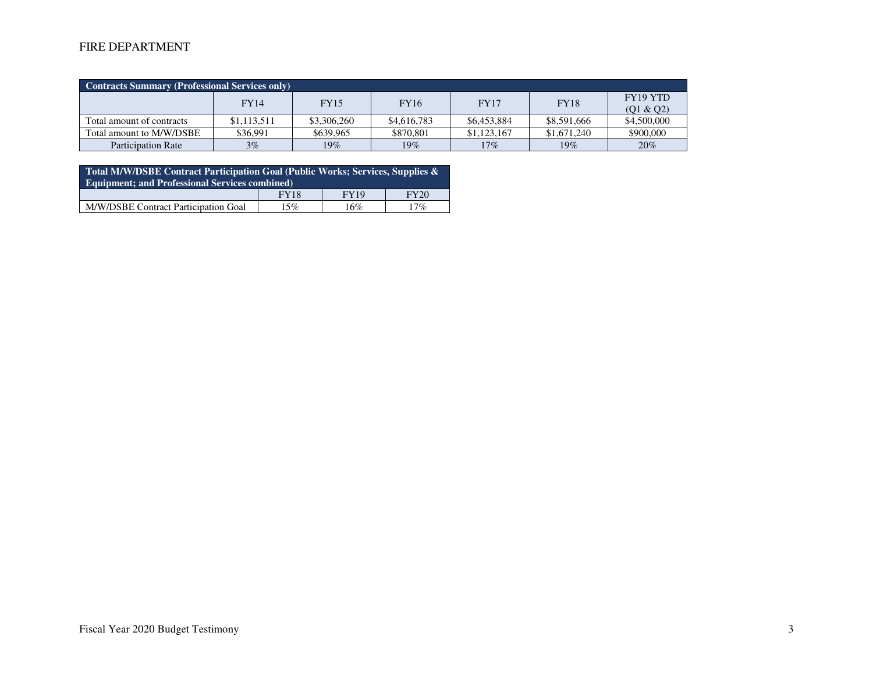# FIRE DEPARTMENT

| <b>Contracts Summary (Professional Services only)</b> |             |             |             |             |             |                       |  |  |  |  |
|-------------------------------------------------------|-------------|-------------|-------------|-------------|-------------|-----------------------|--|--|--|--|
|                                                       | <b>FY14</b> | <b>FY15</b> | <b>FY16</b> | <b>FY17</b> | <b>FY18</b> | FY19 YTD<br>(Q1 & Q2) |  |  |  |  |
| Total amount of contracts                             | \$1,113,511 | \$3,306,260 | \$4,616,783 | \$6,453,884 | \$8,591,666 | \$4,500,000           |  |  |  |  |
| Total amount to M/W/DSBE                              | \$36,991    | \$639,965   | \$870,801   | \$1,123,167 | \$1,671,240 | \$900,000             |  |  |  |  |
| <b>Participation Rate</b>                             | $3\%$       | $19\%$      | 19%         | $17\%$      | $19\%$      | 20%                   |  |  |  |  |

| Total M/W/DSBE Contract Participation Goal (Public Works; Services, Supplies &<br><b>Equipment: and Professional Services combined)</b> |             |             |             |  |  |  |  |  |
|-----------------------------------------------------------------------------------------------------------------------------------------|-------------|-------------|-------------|--|--|--|--|--|
|                                                                                                                                         | <b>FY18</b> | <b>FY19</b> | <b>FY20</b> |  |  |  |  |  |
| M/W/DSBE Contract Participation Goal                                                                                                    | 15%         | 16%         | 17%         |  |  |  |  |  |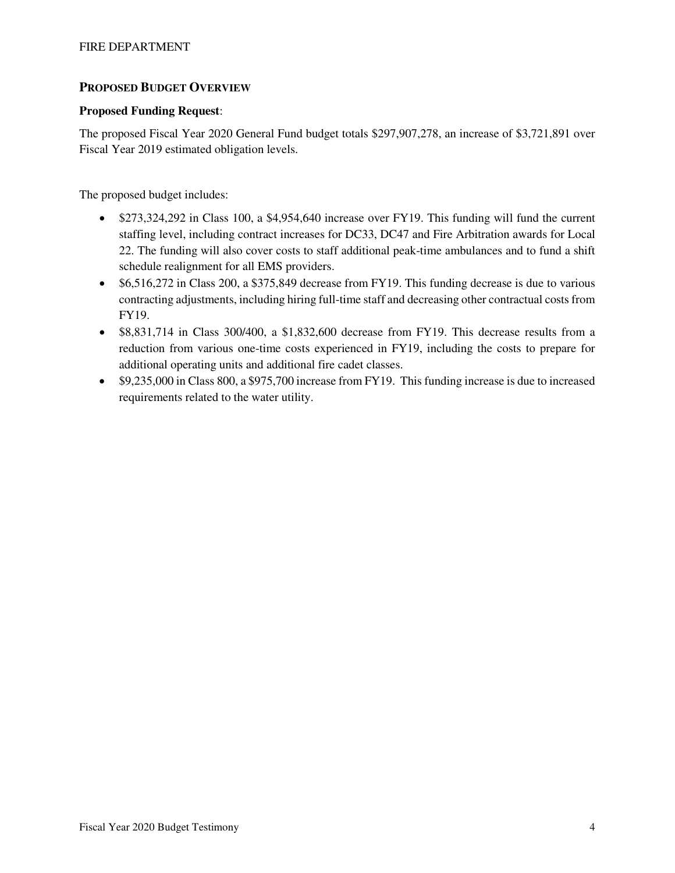# **PROPOSED BUDGET OVERVIEW**

## **Proposed Funding Request**:

The proposed Fiscal Year 2020 General Fund budget totals \$297,907,278, an increase of \$3,721,891 over Fiscal Year 2019 estimated obligation levels.

The proposed budget includes:

- \$273,324,292 in Class 100, a \$4,954,640 increase over FY19. This funding will fund the current staffing level, including contract increases for DC33, DC47 and Fire Arbitration awards for Local 22. The funding will also cover costs to staff additional peak-time ambulances and to fund a shift schedule realignment for all EMS providers.
- \$6,516,272 in Class 200, a \$375,849 decrease from FY19. This funding decrease is due to various contracting adjustments, including hiring full-time staff and decreasing other contractual costs from FY19.
- \$8,831,714 in Class 300/400, a \$1,832,600 decrease from FY19. This decrease results from a reduction from various one-time costs experienced in FY19, including the costs to prepare for additional operating units and additional fire cadet classes.
- \$9,235,000 in Class 800, a \$975,700 increase from FY19. This funding increase is due to increased requirements related to the water utility.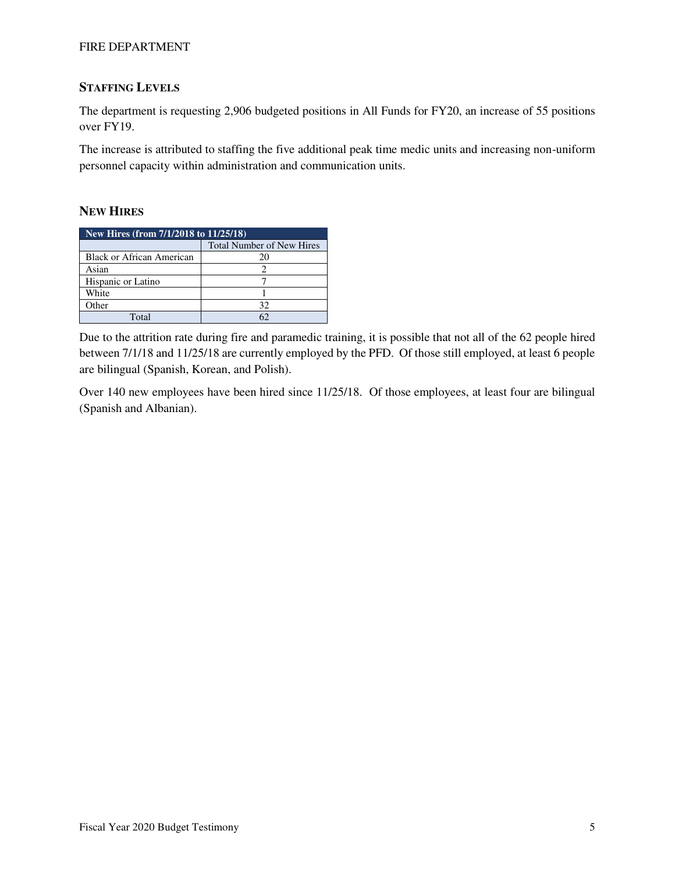## FIRE DEPARTMENT

# **STAFFING LEVELS**

The department is requesting 2,906 budgeted positions in All Funds for FY20, an increase of 55 positions over FY19.

The increase is attributed to staffing the five additional peak time medic units and increasing non-uniform personnel capacity within administration and communication units.

## **NEW HIRES**

| New Hires (from 7/1/2018 to 11/25/18) |                                  |  |  |  |  |  |  |
|---------------------------------------|----------------------------------|--|--|--|--|--|--|
|                                       | <b>Total Number of New Hires</b> |  |  |  |  |  |  |
| Black or African American             |                                  |  |  |  |  |  |  |
| Asian                                 |                                  |  |  |  |  |  |  |
| Hispanic or Latino                    |                                  |  |  |  |  |  |  |
| White                                 |                                  |  |  |  |  |  |  |
| Other                                 | 32                               |  |  |  |  |  |  |
| Total                                 |                                  |  |  |  |  |  |  |

Due to the attrition rate during fire and paramedic training, it is possible that not all of the 62 people hired between 7/1/18 and 11/25/18 are currently employed by the PFD. Of those still employed, at least 6 people are bilingual (Spanish, Korean, and Polish).

Over 140 new employees have been hired since 11/25/18. Of those employees, at least four are bilingual (Spanish and Albanian).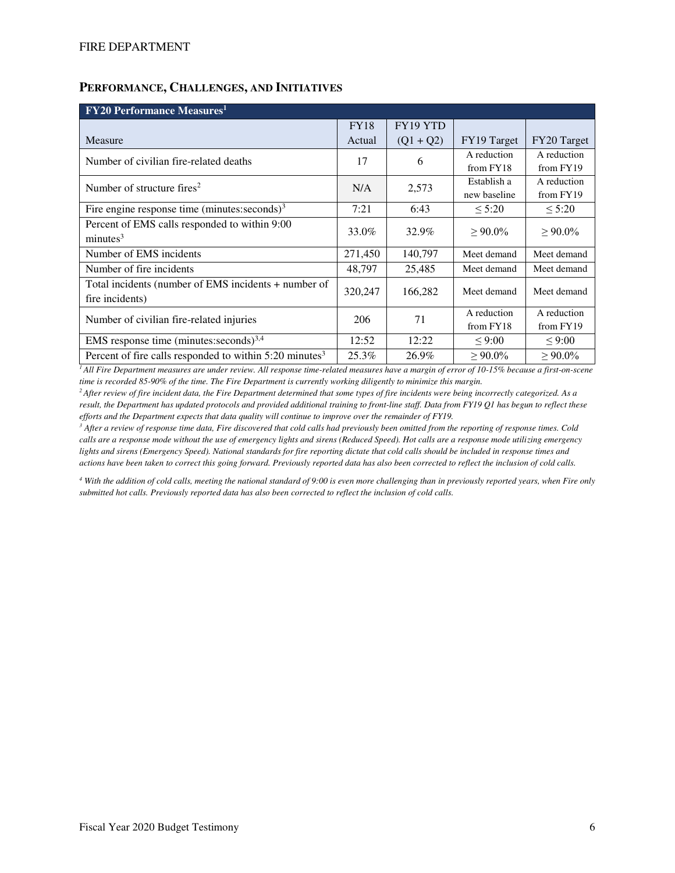# **PERFORMANCE, CHALLENGES, AND INITIATIVES**

| <b>FY20 Performance Measures</b> <sup>1</sup>                       |             |             |              |               |  |  |  |  |  |
|---------------------------------------------------------------------|-------------|-------------|--------------|---------------|--|--|--|--|--|
|                                                                     | <b>FY18</b> | FY19 YTD    |              |               |  |  |  |  |  |
| Measure                                                             | Actual      | $(Q1 + Q2)$ | FY19 Target  | FY20 Target   |  |  |  |  |  |
| Number of civilian fire-related deaths                              | 17          | 6           | A reduction  | A reduction   |  |  |  |  |  |
|                                                                     |             |             | from FY18    | from FY19     |  |  |  |  |  |
| Number of structure fires <sup>2</sup>                              | N/A         | 2,573       | Establish a  | A reduction   |  |  |  |  |  |
|                                                                     |             |             | new baseline | from FY19     |  |  |  |  |  |
| Fire engine response time (minutes: seconds) $3$                    | 7:21        | 6:43        | < 5:20       | $\leq 5:20$   |  |  |  |  |  |
| Percent of EMS calls responded to within 9:00                       | 33.0%       | 32.9%       | $> 90.0\%$   | $> 90.0\%$    |  |  |  |  |  |
| minutes <sup>3</sup>                                                |             |             |              |               |  |  |  |  |  |
| Number of EMS incidents                                             | 271,450     | 140,797     | Meet demand  | Meet demand   |  |  |  |  |  |
| Number of fire incidents                                            | 48,797      | 25,485      | Meet demand  | Meet demand   |  |  |  |  |  |
| Total incidents (number of EMS incidents + number of                | 320,247     | 166,282     | Meet demand  | Meet demand   |  |  |  |  |  |
| fire incidents)                                                     |             |             |              |               |  |  |  |  |  |
| Number of civilian fire-related injuries                            | 206         | 71          | A reduction  | A reduction   |  |  |  |  |  |
|                                                                     |             |             | from FY18    | from FY19     |  |  |  |  |  |
| EMS response time (minutes: seconds) $^{3,4}$                       | 12:52       | 12:22       | $\leq 9:00$  | $\leq 9:00$   |  |  |  |  |  |
| Percent of fire calls responded to within 5:20 minutes <sup>3</sup> | 25.3%       | 26.9%       | $> 90.0\%$   | $\geq 90.0\%$ |  |  |  |  |  |

*<sup>1</sup>All Fire Department measures are under review. All response time-related measures have a margin of error of 10-15% because a first-on-scene time is recorded 85-90% of the time. The Fire Department is currently working diligently to minimize this margin.* 

*<sup>2</sup>After review of fire incident data, the Fire Department determined that some types of fire incidents were being incorrectly categorized. As a result, the Department has updated protocols and provided additional training to front-line staff. Data from FY19 Q1 has begun to reflect these efforts and the Department expects that data quality will continue to improve over the remainder of FY19.* 

*3 After a review of response time data, Fire discovered that cold calls had previously been omitted from the reporting of response times. Cold calls are a response mode without the use of emergency lights and sirens (Reduced Speed). Hot calls are a response mode utilizing emergency lights and sirens (Emergency Speed). National standards for fire reporting dictate that cold calls should be included in response times and actions have been taken to correct this going forward. Previously reported data has also been corrected to reflect the inclusion of cold calls.* 

*4 With the addition of cold calls, meeting the national standard of 9:00 is even more challenging than in previously reported years, when Fire only submitted hot calls. Previously reported data has also been corrected to reflect the inclusion of cold calls.*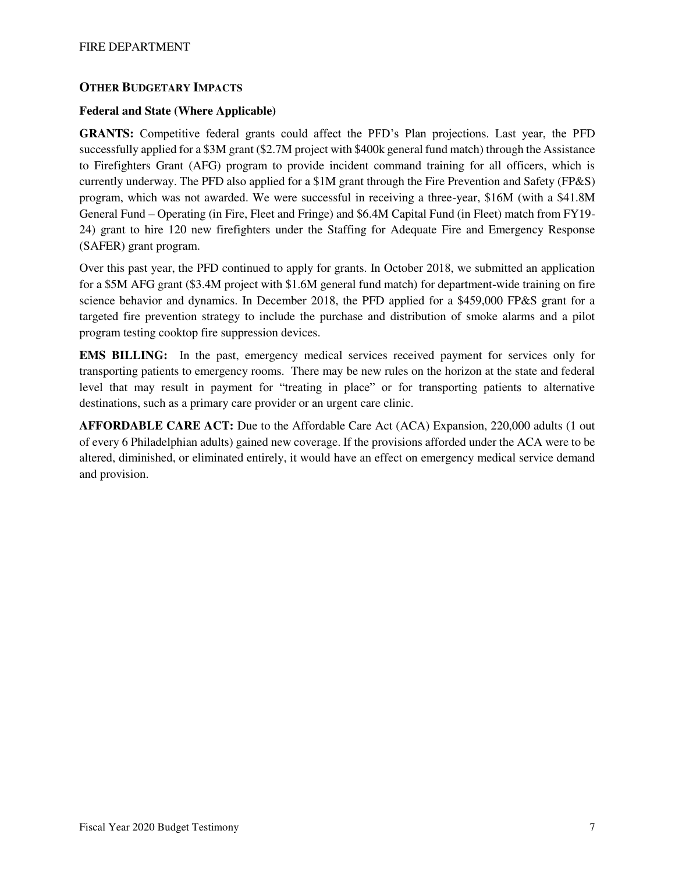## **OTHER BUDGETARY IMPACTS**

## **Federal and State (Where Applicable)**

**GRANTS:** Competitive federal grants could affect the PFD's Plan projections. Last year, the PFD successfully applied for a \$3M grant (\$2.7M project with \$400k general fund match) through the Assistance to Firefighters Grant (AFG) program to provide incident command training for all officers, which is currently underway. The PFD also applied for a \$1M grant through the Fire Prevention and Safety (FP&S) program, which was not awarded. We were successful in receiving a three-year, \$16M (with a \$41.8M General Fund – Operating (in Fire, Fleet and Fringe) and \$6.4M Capital Fund (in Fleet) match from FY19- 24) grant to hire 120 new firefighters under the Staffing for Adequate Fire and Emergency Response (SAFER) grant program.

Over this past year, the PFD continued to apply for grants. In October 2018, we submitted an application for a \$5M AFG grant (\$3.4M project with \$1.6M general fund match) for department-wide training on fire science behavior and dynamics. In December 2018, the PFD applied for a \$459,000 FP&S grant for a targeted fire prevention strategy to include the purchase and distribution of smoke alarms and a pilot program testing cooktop fire suppression devices.

**EMS BILLING:** In the past, emergency medical services received payment for services only for transporting patients to emergency rooms. There may be new rules on the horizon at the state and federal level that may result in payment for "treating in place" or for transporting patients to alternative destinations, such as a primary care provider or an urgent care clinic.

**AFFORDABLE CARE ACT:** Due to the Affordable Care Act (ACA) Expansion, 220,000 adults (1 out of every 6 Philadelphian adults) gained new coverage. If the provisions afforded under the ACA were to be altered, diminished, or eliminated entirely, it would have an effect on emergency medical service demand and provision.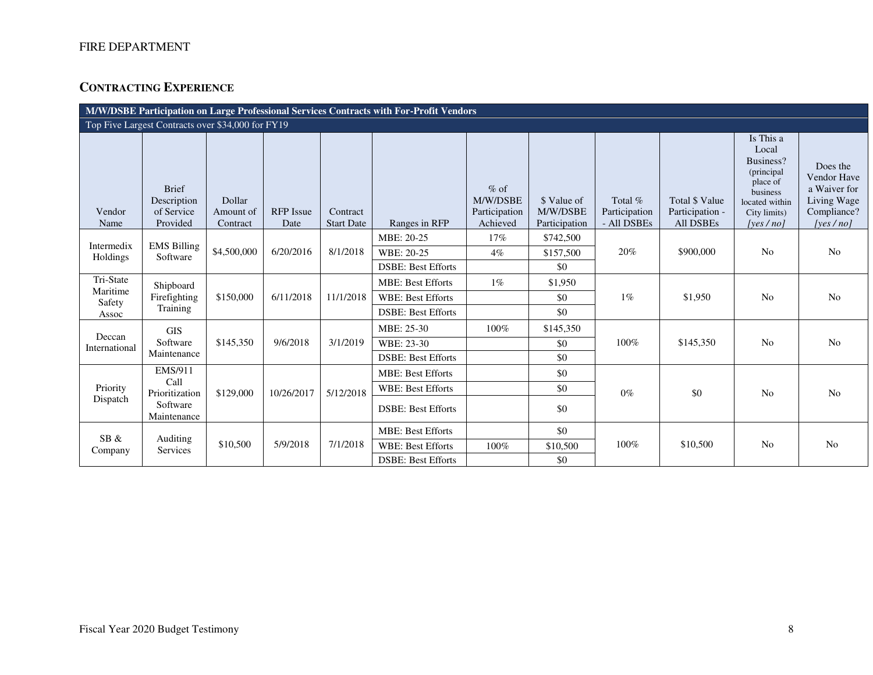# **CONTRACTING EXPERIENCE**

| M/W/DSBE Participation on Large Professional Services Contracts with For-Profit Vendors |                                                       |                                 |                          |                               |                           |                                                 |                                          |                                         |                                                       |                                                                                                                         |                                                                                   |  |
|-----------------------------------------------------------------------------------------|-------------------------------------------------------|---------------------------------|--------------------------|-------------------------------|---------------------------|-------------------------------------------------|------------------------------------------|-----------------------------------------|-------------------------------------------------------|-------------------------------------------------------------------------------------------------------------------------|-----------------------------------------------------------------------------------|--|
|                                                                                         | Top Five Largest Contracts over \$34,000 for FY19     |                                 |                          |                               |                           |                                                 |                                          |                                         |                                                       |                                                                                                                         |                                                                                   |  |
| Vendor<br>Name                                                                          | <b>Brief</b><br>Description<br>of Service<br>Provided | Dollar<br>Amount of<br>Contract | <b>RFP</b> Issue<br>Date | Contract<br><b>Start Date</b> | Ranges in RFP             | $%$ of<br>M/W/DSBE<br>Participation<br>Achieved | \$ Value of<br>M/W/DSBE<br>Participation | Total %<br>Participation<br>- All DSBEs | Total \$ Value<br>Participation -<br><b>All DSBEs</b> | Is This a<br>Local<br>Business?<br>(principal<br>place of<br>business<br>located within<br>City limits)<br>[yes $/no$ ] | Does the<br>Vendor Have<br>a Waiver for<br>Living Wage<br>Compliance?<br>[yes/no] |  |
| Intermedix                                                                              | <b>EMS Billing</b>                                    |                                 |                          |                               | MBE: 20-25                | 17%                                             | \$742,500                                |                                         |                                                       |                                                                                                                         |                                                                                   |  |
| Holdings                                                                                | Software                                              | \$4,500,000                     | 6/20/2016                | 8/1/2018                      | WBE: 20-25                | $4\%$                                           | \$157,500                                | 20%                                     | \$900,000                                             | N <sub>o</sub>                                                                                                          | N <sub>o</sub>                                                                    |  |
|                                                                                         |                                                       |                                 |                          |                               | <b>DSBE: Best Efforts</b> |                                                 | \$0                                      |                                         |                                                       |                                                                                                                         |                                                                                   |  |
| Tri-State<br>Maritime                                                                   | Shipboard                                             |                                 |                          |                               | <b>MBE: Best Efforts</b>  | $1\%$                                           | \$1,950                                  |                                         |                                                       |                                                                                                                         |                                                                                   |  |
| Safety                                                                                  | Firefighting                                          | \$150,000                       | 6/11/2018                | 11/1/2018                     | <b>WBE: Best Efforts</b>  |                                                 | \$0                                      | $1\%$                                   | \$1,950                                               | N <sub>0</sub>                                                                                                          | No                                                                                |  |
| Assoc                                                                                   | Training                                              |                                 |                          |                               | <b>DSBE: Best Efforts</b> |                                                 | \$0                                      |                                         |                                                       |                                                                                                                         |                                                                                   |  |
| Deccan                                                                                  | <b>GIS</b>                                            |                                 |                          |                               | MBE: 25-30                | 100%                                            | \$145,350                                |                                         |                                                       |                                                                                                                         |                                                                                   |  |
| International                                                                           | Software                                              | \$145,350                       | 9/6/2018                 | 3/1/2019                      | WBE: 23-30                |                                                 | \$0                                      | 100%                                    | \$145,350                                             | N <sub>o</sub>                                                                                                          | N <sub>o</sub>                                                                    |  |
|                                                                                         | Maintenance                                           |                                 |                          |                               | <b>DSBE: Best Efforts</b> |                                                 | \$0                                      |                                         |                                                       |                                                                                                                         |                                                                                   |  |
|                                                                                         | EMS/911                                               |                                 |                          |                               | <b>MBE: Best Efforts</b>  |                                                 | \$0                                      |                                         |                                                       |                                                                                                                         |                                                                                   |  |
| Priority                                                                                | Call<br>Prioritization                                | \$129,000                       | 10/26/2017               | 5/12/2018                     | <b>WBE: Best Efforts</b>  |                                                 | \$0                                      | $0\%$                                   | \$0                                                   | <b>No</b>                                                                                                               | No                                                                                |  |
| Dispatch                                                                                | Software<br>Maintenance                               |                                 |                          |                               | <b>DSBE: Best Efforts</b> |                                                 | \$0                                      |                                         |                                                       |                                                                                                                         |                                                                                   |  |
| SB &                                                                                    |                                                       |                                 |                          |                               | <b>MBE: Best Efforts</b>  |                                                 | \$0                                      |                                         |                                                       |                                                                                                                         |                                                                                   |  |
| Company                                                                                 | Auditing<br>Services                                  | \$10,500                        | 5/9/2018                 | 7/1/2018                      | <b>WBE: Best Efforts</b>  | 100%                                            | \$10,500                                 | 100%                                    | \$10,500                                              | <b>No</b>                                                                                                               | No                                                                                |  |
|                                                                                         |                                                       |                                 |                          |                               | <b>DSBE: Best Efforts</b> |                                                 | \$0                                      |                                         |                                                       |                                                                                                                         |                                                                                   |  |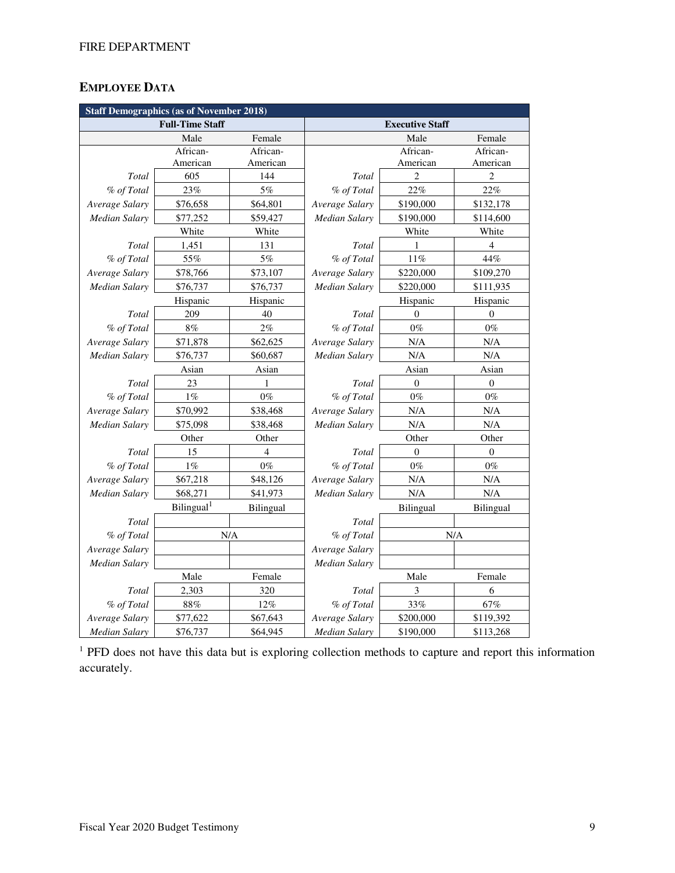# **EMPLOYEE DATA**

| <b>Staff Demographics (as of November 2018)</b> |                        |           |                        |                |                  |  |  |  |  |
|-------------------------------------------------|------------------------|-----------|------------------------|----------------|------------------|--|--|--|--|
|                                                 | <b>Full-Time Staff</b> |           | <b>Executive Staff</b> |                |                  |  |  |  |  |
|                                                 | Male                   | Female    |                        | Male           | Female           |  |  |  |  |
|                                                 | African-               | African-  |                        | African-       | African-         |  |  |  |  |
|                                                 | American               | American  |                        | American       | American         |  |  |  |  |
| Total                                           | 605                    | 144       | Total                  | $\overline{2}$ | $\overline{2}$   |  |  |  |  |
| % of Total                                      | 23%                    | 5%        | % of Total             | 22%            | 22%              |  |  |  |  |
| Average Salary                                  | \$76,658               | \$64,801  | Average Salary         | \$190,000      | \$132,178        |  |  |  |  |
| Median Salary                                   | \$77,252               | \$59,427  | Median Salary          | \$190,000      | \$114,600        |  |  |  |  |
|                                                 | White                  | White     |                        | White          | White            |  |  |  |  |
| Total                                           | 1,451                  | 131       | Total                  | 1              | $\overline{4}$   |  |  |  |  |
| % of Total                                      | 55%                    | 5%        | % of Total             | 11%            | 44%              |  |  |  |  |
| Average Salary                                  | \$78,766               | \$73,107  | Average Salary         | \$220,000      | \$109,270        |  |  |  |  |
| Median Salary                                   | \$76,737               | \$76,737  | Median Salary          | \$220,000      | \$111,935        |  |  |  |  |
|                                                 | Hispanic               | Hispanic  |                        | Hispanic       | Hispanic         |  |  |  |  |
| Total                                           | 209                    | 40        | Total                  | $\theta$       | $\overline{0}$   |  |  |  |  |
| % of Total                                      | 8%                     | 2%        | % of Total             | $0\%$          | $0\%$            |  |  |  |  |
| Average Salary                                  | \$71,878               | \$62,625  | Average Salary         | N/A            | N/A              |  |  |  |  |
| Median Salary                                   | \$76,737               | \$60,687  | <b>Median Salary</b>   | N/A            | N/A              |  |  |  |  |
|                                                 | Asian                  | Asian     |                        | Asian          | Asian            |  |  |  |  |
| Total                                           | 23                     | 1         | Total                  | $\mathbf{0}$   | $\boldsymbol{0}$ |  |  |  |  |
| % of Total                                      | $1\%$                  | $0\%$     | % of Total             | $0\%$          | $0\%$            |  |  |  |  |
| Average Salary                                  | \$70,992               | \$38,468  | Average Salary         | $\rm N/A$      | N/A              |  |  |  |  |
| Median Salary                                   | \$75,098               | \$38,468  | Median Salary          | N/A            | N/A              |  |  |  |  |
|                                                 | Other                  | Other     |                        | Other          | Other            |  |  |  |  |
| Total                                           | 15                     | 4         | Total                  | $\overline{0}$ | $\boldsymbol{0}$ |  |  |  |  |
| % of Total                                      | $1\%$                  | $0\%$     | % of Total             | $0\%$          | $0\%$            |  |  |  |  |
| Average Salary                                  | \$67,218               | \$48,126  | Average Salary         | N/A            | N/A              |  |  |  |  |
| Median Salary                                   | \$68,271               | \$41,973  | <b>Median Salary</b>   | $\rm N/A$      | N/A              |  |  |  |  |
|                                                 | Bilingual <sup>1</sup> | Bilingual |                        | Bilingual      | Bilingual        |  |  |  |  |
| Total                                           |                        |           | Total                  |                |                  |  |  |  |  |
| % of Total                                      |                        | N/A       | % of Total             |                | N/A              |  |  |  |  |
| Average Salary                                  |                        |           | Average Salary         |                |                  |  |  |  |  |
| <b>Median Salary</b>                            |                        |           | Median Salary          |                |                  |  |  |  |  |
|                                                 | Male                   | Female    |                        | Male           | Female           |  |  |  |  |
| Total                                           | 2,303                  | 320       | Total                  | 3              | 6                |  |  |  |  |
| % of Total                                      | 88%                    | 12%       | % of Total             | 33%            | 67%              |  |  |  |  |
| Average Salary                                  | \$77,622               | \$67,643  | Average Salary         | \$200,000      | \$119,392        |  |  |  |  |
| Median Salary                                   | \$76,737               | \$64,945  | Median Salary          | \$190,000      | \$113,268        |  |  |  |  |

<sup>1</sup> PFD does not have this data but is exploring collection methods to capture and report this information accurately.